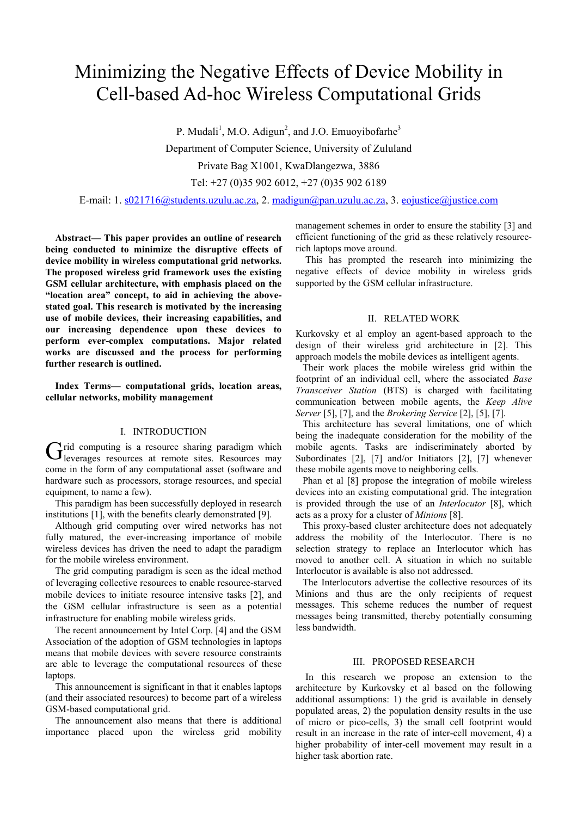# Minimizing the Negative Effects of Device Mobility in Cell-based Ad-hoc Wireless Computational Grids

P. Mudali<sup>1</sup>, M.O. Adigun<sup>2</sup>, and J.O. Emuoyibofarhe<sup>3</sup>

Department of Computer Science, University of Zululand

Private Bag X1001, KwaDlangezwa, 3886

Tel: +27 (0)35 902 6012, +27 (0)35 902 6189

E-mail: 1. s021716@students.uzulu.ac.za, 2. madigun@pan.uzulu.ac.za, 3. eojustice@justice.com

**Abstract— This paper provides an outline of research being conducted to minimize the disruptive effects of device mobility in wireless computational grid networks. The proposed wireless grid framework uses the existing GSM cellular architecture, with emphasis placed on the "location area" concept, to aid in achieving the abovestated goal. This research is motivated by the increasing use of mobile devices, their increasing capabilities, and our increasing dependence upon these devices to perform ever-complex computations. Major related works are discussed and the process for performing further research is outlined.** 

**Index Terms— computational grids, location areas, cellular networks, mobility management** 

### I. INTRODUCTION

 $\mathbf{r}$  rid computing is a resource sharing paradigm which Grid computing is a resource sharing paradigm which leverages resources at remote sites. Resources may come in the form of any computational asset (software and hardware such as processors, storage resources, and special equipment, to name a few).

This paradigm has been successfully deployed in research institutions [1], with the benefits clearly demonstrated [9].

Although grid computing over wired networks has not fully matured, the ever-increasing importance of mobile wireless devices has driven the need to adapt the paradigm for the mobile wireless environment.

The grid computing paradigm is seen as the ideal method of leveraging collective resources to enable resource-starved mobile devices to initiate resource intensive tasks [2], and the GSM cellular infrastructure is seen as a potential infrastructure for enabling mobile wireless grids.

The recent announcement by Intel Corp. [4] and the GSM Association of the adoption of GSM technologies in laptops means that mobile devices with severe resource constraints are able to leverage the computational resources of these laptops.

This announcement is significant in that it enables laptops (and their associated resources) to become part of a wireless GSM-based computational grid.

The announcement also means that there is additional importance placed upon the wireless grid mobility

management schemes in order to ensure the stability [3] and efficient functioning of the grid as these relatively resourcerich laptops move around.

This has prompted the research into minimizing the negative effects of device mobility in wireless grids supported by the GSM cellular infrastructure.

#### II. RELATED WORK

Kurkovsky et al employ an agent-based approach to the design of their wireless grid architecture in [2]. This approach models the mobile devices as intelligent agents.

Their work places the mobile wireless grid within the footprint of an individual cell, where the associated *Base Transceiver Station* (BTS) is charged with facilitating communication between mobile agents, the *Keep Alive Server* [5], [7], and the *Brokering Service* [2], [5], [7].

This architecture has several limitations, one of which being the inadequate consideration for the mobility of the mobile agents. Tasks are indiscriminately aborted by Subordinates [2], [7] and/or Initiators [2], [7] whenever these mobile agents move to neighboring cells.

Phan et al [8] propose the integration of mobile wireless devices into an existing computational grid. The integration is provided through the use of an *Interlocutor* [8], which acts as a proxy for a cluster of *Minions* [8].

This proxy-based cluster architecture does not adequately address the mobility of the Interlocutor. There is no selection strategy to replace an Interlocutor which has moved to another cell. A situation in which no suitable Interlocutor is available is also not addressed.

The Interlocutors advertise the collective resources of its Minions and thus are the only recipients of request messages. This scheme reduces the number of request messages being transmitted, thereby potentially consuming less bandwidth.

#### III. PROPOSED RESEARCH

In this research we propose an extension to the architecture by Kurkovsky et al based on the following additional assumptions: 1) the grid is available in densely populated areas, 2) the population density results in the use of micro or pico-cells, 3) the small cell footprint would result in an increase in the rate of inter-cell movement, 4) a higher probability of inter-cell movement may result in a higher task abortion rate.